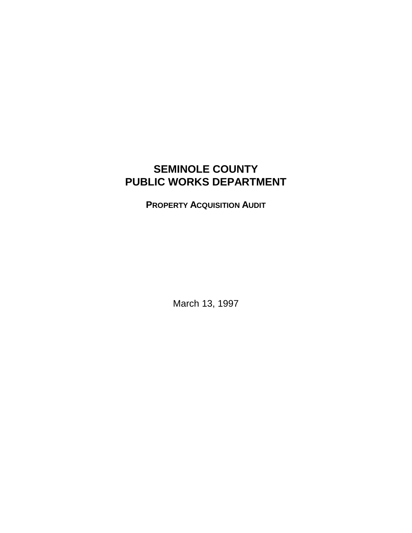# **SEMINOLE COUNTY PUBLIC WORKS DEPARTMENT**

**PROPERTY ACQUISITION AUDIT**

March 13, 1997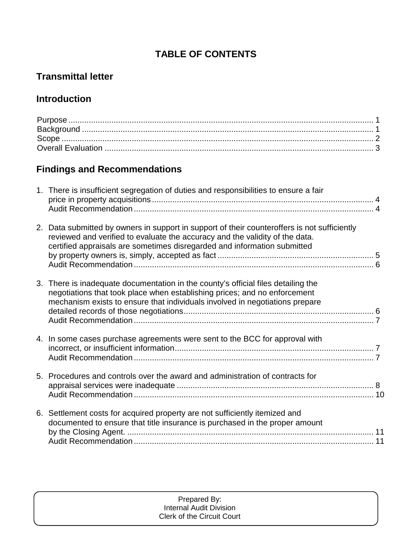# **TABLE OF CONTENTS**

# **Transmittal letter**

# **Introduction**

# **Findings and Recommendations**

| 1. There is insufficient segregation of duties and responsibilities to ensure a fair                                                                                                                                                                     |  |
|----------------------------------------------------------------------------------------------------------------------------------------------------------------------------------------------------------------------------------------------------------|--|
| 2. Data submitted by owners in support in support of their counteroffers is not sufficiently<br>reviewed and verified to evaluate the accuracy and the validity of the data.<br>certified appraisals are sometimes disregarded and information submitted |  |
| 3. There is inadequate documentation in the county's official files detailing the<br>negotiations that took place when establishing prices; and no enforcement<br>mechanism exists to ensure that individuals involved in negotiations prepare           |  |
| 4. In some cases purchase agreements were sent to the BCC for approval with                                                                                                                                                                              |  |
| 5. Procedures and controls over the award and administration of contracts for                                                                                                                                                                            |  |
| 6. Settlement costs for acquired property are not sufficiently itemized and<br>documented to ensure that title insurance is purchased in the proper amount                                                                                               |  |

#### Prepared By: Internal Audit Division Clerk of the Circuit Court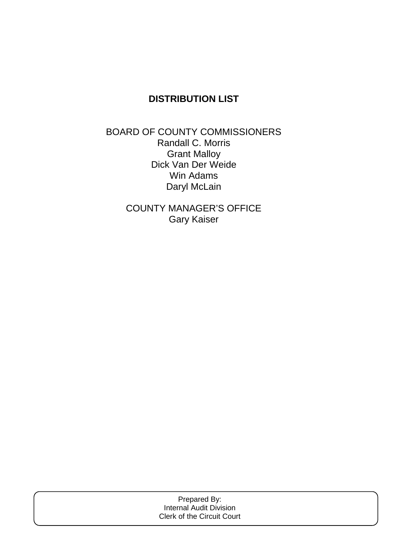# **DISTRIBUTION LIST**

BOARD OF COUNTY COMMISSIONERS Randall C. Morris Grant Malloy Dick Van Der Weide Win Adams Daryl McLain

> COUNTY MANAGER'S OFFICE Gary Kaiser

| Prepared By:                      |  |
|-----------------------------------|--|
| Internal Audit Division           |  |
| <b>Clerk of the Circuit Court</b> |  |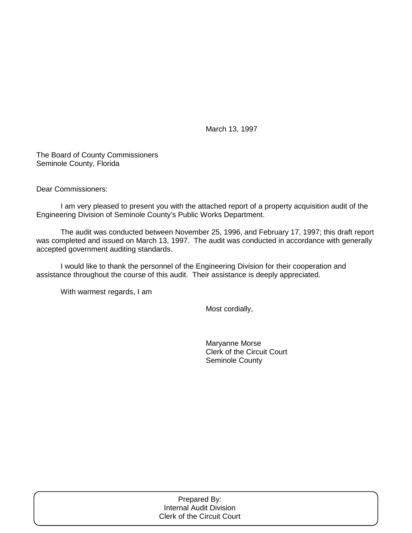March 13, 1997

The Board of County Commissioners Seminole County, Florida

Dear Commissioners:

 I am very pleased to present you with the attached report of a property acquisition audit of the Engineering Division of Seminole County's Public Works Department.

 The audit was conducted between November 25, 1996, and February 17, 1997; this draft report was completed and issued on March 13, 1997. The audit was conducted in accordance with generally accepted government auditing standards.

 I would like to thank the personnel of the Engineering Division for their cooperation and assistance throughout the course of this audit. Their assistance is deeply appreciated.

With warmest regards, I am

Most cordially,

 Maryanne Morse Clerk of the Circuit Court Seminole County

| Prepared By:               |  |
|----------------------------|--|
| Internal Audit Division    |  |
| Clerk of the Circuit Court |  |
|                            |  |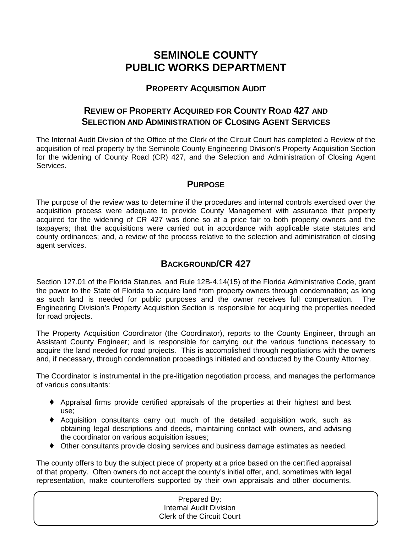# **SEMINOLE COUNTY PUBLIC WORKS DEPARTMENT**

## **PROPERTY ACQUISITION AUDIT**

# **REVIEW OF PROPERTY ACQUIRED FOR COUNTY ROAD 427 AND SELECTION AND ADMINISTRATION OF CLOSING AGENT SERVICES**

The Internal Audit Division of the Office of the Clerk of the Circuit Court has completed a Review of the acquisition of real property by the Seminole County Engineering Division's Property Acquisition Section for the widening of County Road (CR) 427, and the Selection and Administration of Closing Agent Services.

## **PURPOSE**

The purpose of the review was to determine if the procedures and internal controls exercised over the acquisition process were adequate to provide County Management with assurance that property acquired for the widening of CR 427 was done so at a price fair to both property owners and the taxpayers; that the acquisitions were carried out in accordance with applicable state statutes and county ordinances; and, a review of the process relative to the selection and administration of closing agent services.

# **BACKGROUND/CR 427**

Section 127.01 of the Florida Statutes, and Rule 12B-4.14(15) of the Florida Administrative Code, grant the power to the State of Florida to acquire land from property owners through condemnation; as long as such land is needed for public purposes and the owner receives full compensation. The Engineering Division's Property Acquisition Section is responsible for acquiring the properties needed for road projects.

The Property Acquisition Coordinator (the Coordinator), reports to the County Engineer, through an Assistant County Engineer; and is responsible for carrying out the various functions necessary to acquire the land needed for road projects. This is accomplished through negotiations with the owners and, if necessary, through condemnation proceedings initiated and conducted by the County Attorney.

The Coordinator is instrumental in the pre-litigation negotiation process, and manages the performance of various consultants:

- ♦ Appraisal firms provide certified appraisals of the properties at their highest and best use;
- ♦ Acquisition consultants carry out much of the detailed acquisition work, such as obtaining legal descriptions and deeds, maintaining contact with owners, and advising the coordinator on various acquisition issues;
- ♦ Other consultants provide closing services and business damage estimates as needed.

The county offers to buy the subject piece of property at a price based on the certified appraisal of that property. Often owners do not accept the county's initial offer, and, sometimes with legal representation, make counteroffers supported by their own appraisals and other documents.

# Prepared By: Internal Audit Division Clerk of the Circuit Court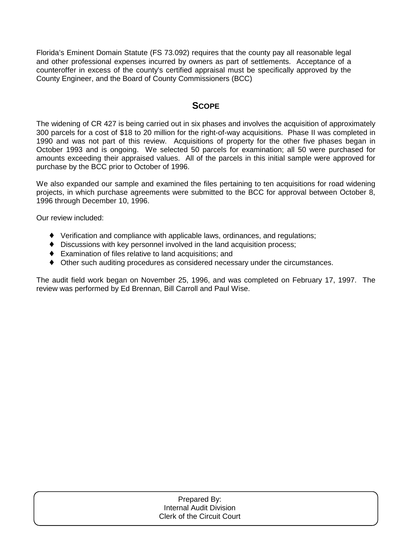Florida's Eminent Domain Statute (FS 73.092) requires that the county pay all reasonable legal and other professional expenses incurred by owners as part of settlements. Acceptance of a counteroffer in excess of the county's certified appraisal must be specifically approved by the County Engineer, and the Board of County Commissioners (BCC)

### **SCOPE**

The widening of CR 427 is being carried out in six phases and involves the acquisition of approximately 300 parcels for a cost of \$18 to 20 million for the right-of-way acquisitions. Phase II was completed in 1990 and was not part of this review. Acquisitions of property for the other five phases began in October 1993 and is ongoing. We selected 50 parcels for examination; all 50 were purchased for amounts exceeding their appraised values. All of the parcels in this initial sample were approved for purchase by the BCC prior to October of 1996.

We also expanded our sample and examined the files pertaining to ten acquisitions for road widening projects, in which purchase agreements were submitted to the BCC for approval between October 8, 1996 through December 10, 1996.

Our review included:

- ♦ Verification and compliance with applicable laws, ordinances, and regulations;
- ♦ Discussions with key personnel involved in the land acquisition process;
- ♦ Examination of files relative to land acquisitions; and
- ♦ Other such auditing procedures as considered necessary under the circumstances.

The audit field work began on November 25, 1996, and was completed on February 17, 1997. The review was performed by Ed Brennan, Bill Carroll and Paul Wise.

| Prepared By:                      |  |
|-----------------------------------|--|
| Internal Audit Division           |  |
| <b>Clerk of the Circuit Court</b> |  |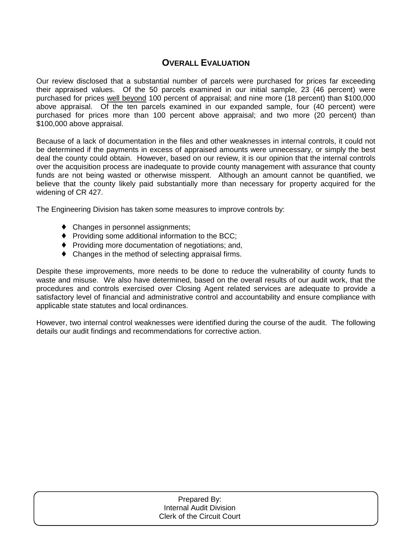### **OVERALL EVALUATION**

Our review disclosed that a substantial number of parcels were purchased for prices far exceeding their appraised values. Of the 50 parcels examined in our initial sample, 23 (46 percent) were purchased for prices well beyond 100 percent of appraisal; and nine more (18 percent) than \$100,000 above appraisal. Of the ten parcels examined in our expanded sample, four (40 percent) were purchased for prices more than 100 percent above appraisal; and two more (20 percent) than \$100,000 above appraisal.

Because of a lack of documentation in the files and other weaknesses in internal controls, it could not be determined if the payments in excess of appraised amounts were unnecessary, or simply the best deal the county could obtain. However, based on our review, it is our opinion that the internal controls over the acquisition process are inadequate to provide county management with assurance that county funds are not being wasted or otherwise misspent. Although an amount cannot be quantified, we believe that the county likely paid substantially more than necessary for property acquired for the widening of CR 427.

The Engineering Division has taken some measures to improve controls by:

- Changes in personnel assignments;
- ♦ Providing some additional information to the BCC;
- ♦ Providing more documentation of negotiations; and,
- ♦ Changes in the method of selecting appraisal firms.

Despite these improvements, more needs to be done to reduce the vulnerability of county funds to waste and misuse. We also have determined, based on the overall results of our audit work, that the procedures and controls exercised over Closing Agent related services are adequate to provide a satisfactory level of financial and administrative control and accountability and ensure compliance with applicable state statutes and local ordinances.

However, two internal control weaknesses were identified during the course of the audit. The following details our audit findings and recommendations for corrective action.

| Prepared By:                   |
|--------------------------------|
| <b>Internal Audit Division</b> |
| Clerk of the Circuit Court     |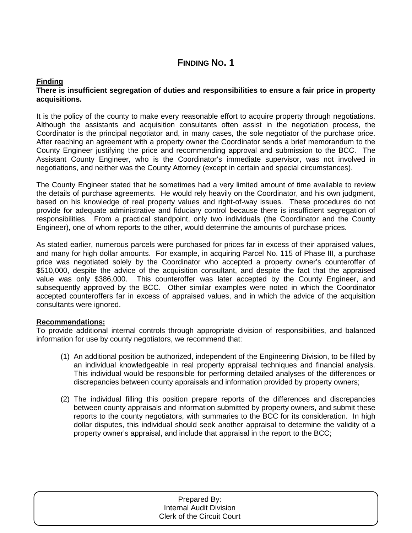## **FINDING NO. 1**

#### **Finding There is insufficient segregation of duties and responsibilities to ensure a fair price in property acquisitions.**

It is the policy of the county to make every reasonable effort to acquire property through negotiations. Although the assistants and acquisition consultants often assist in the negotiation process, the Coordinator is the principal negotiator and, in many cases, the sole negotiator of the purchase price. After reaching an agreement with a property owner the Coordinator sends a brief memorandum to the County Engineer justifying the price and recommending approval and submission to the BCC. The Assistant County Engineer, who is the Coordinator's immediate supervisor, was not involved in negotiations, and neither was the County Attorney (except in certain and special circumstances).

The County Engineer stated that he sometimes had a very limited amount of time available to review the details of purchase agreements. He would rely heavily on the Coordinator, and his own judgment, based on his knowledge of real property values and right-of-way issues. These procedures do not provide for adequate administrative and fiduciary control because there is insufficient segregation of responsibilities. From a practical standpoint, only two individuals (the Coordinator and the County Engineer), one of whom reports to the other, would determine the amounts of purchase prices.

As stated earlier, numerous parcels were purchased for prices far in excess of their appraised values, and many for high dollar amounts. For example, in acquiring Parcel No. 115 of Phase III, a purchase price was negotiated solely by the Coordinator who accepted a property owner's counteroffer of \$510,000, despite the advice of the acquisition consultant, and despite the fact that the appraised value was only \$386,000. This counteroffer was later accepted by the County Engineer, and subsequently approved by the BCC. Other similar examples were noted in which the Coordinator accepted counteroffers far in excess of appraised values, and in which the advice of the acquisition consultants were ignored.

#### **Recommendations:**

To provide additional internal controls through appropriate division of responsibilities, and balanced information for use by county negotiators, we recommend that:

- (1) An additional position be authorized, independent of the Engineering Division, to be filled by an individual knowledgeable in real property appraisal techniques and financial analysis. This individual would be responsible for performing detailed analyses of the differences or discrepancies between county appraisals and information provided by property owners;
- (2) The individual filling this position prepare reports of the differences and discrepancies between county appraisals and information submitted by property owners, and submit these reports to the county negotiators, with summaries to the BCC for its consideration. In high dollar disputes, this individual should seek another appraisal to determine the validity of a property owner's appraisal, and include that appraisal in the report to the BCC;

| Prepared By:                      |
|-----------------------------------|
| <b>Internal Audit Division</b>    |
| <b>Clerk of the Circuit Court</b> |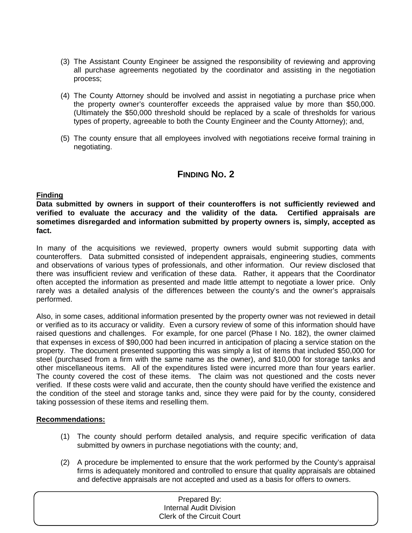- (3) The Assistant County Engineer be assigned the responsibility of reviewing and approving all purchase agreements negotiated by the coordinator and assisting in the negotiation process;
- (4) The County Attorney should be involved and assist in negotiating a purchase price when the property owner's counteroffer exceeds the appraised value by more than \$50,000. (Ultimately the \$50,000 threshold should be replaced by a scale of thresholds for various types of property, agreeable to both the County Engineer and the County Attorney); and,
- (5) The county ensure that all employees involved with negotiations receive formal training in negotiating.

### **FINDING NO. 2**

#### **Finding**

**Data submitted by owners in support of their counteroffers is not sufficiently reviewed and verified to evaluate the accuracy and the validity of the data. Certified appraisals are sometimes disregarded and information submitted by property owners is, simply, accepted as fact.**

In many of the acquisitions we reviewed, property owners would submit supporting data with counteroffers. Data submitted consisted of independent appraisals, engineering studies, comments and observations of various types of professionals, and other information. Our review disclosed that there was insufficient review and verification of these data. Rather, it appears that the Coordinator often accepted the information as presented and made little attempt to negotiate a lower price. Only rarely was a detailed analysis of the differences between the county's and the owner's appraisals performed.

Also, in some cases, additional information presented by the property owner was not reviewed in detail or verified as to its accuracy or validity. Even a cursory review of some of this information should have raised questions and challenges. For example, for one parcel (Phase I No. 182), the owner claimed that expenses in excess of \$90,000 had been incurred in anticipation of placing a service station on the property. The document presented supporting this was simply a list of items that included \$50,000 for steel (purchased from a firm with the same name as the owner), and \$10,000 for storage tanks and other miscellaneous items. All of the expenditures listed were incurred more than four years earlier. The county covered the cost of these items. The claim was not questioned and the costs never verified. If these costs were valid and accurate, then the county should have verified the existence and the condition of the steel and storage tanks and, since they were paid for by the county, considered taking possession of these items and reselling them.

#### **Recommendations:**

- (1) The county should perform detailed analysis, and require specific verification of data submitted by owners in purchase negotiations with the county; and,
- (2) A procedure be implemented to ensure that the work performed by the County's appraisal firms is adequately monitored and controlled to ensure that quality appraisals are obtained and defective appraisals are not accepted and used as a basis for offers to owners.

| Prepared By:                      |  |
|-----------------------------------|--|
| Internal Audit Division           |  |
| <b>Clerk of the Circuit Court</b> |  |
|                                   |  |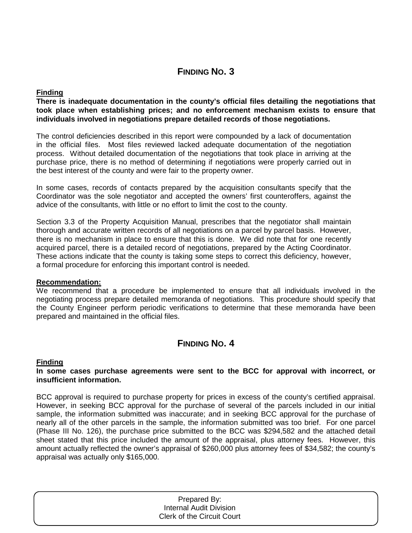## **FINDING NO. 3**

#### **Finding**

**There is inadequate documentation in the county's official files detailing the negotiations that took place when establishing prices; and no enforcement mechanism exists to ensure that individuals involved in negotiations prepare detailed records of those negotiations.** 

The control deficiencies described in this report were compounded by a lack of documentation in the official files. Most files reviewed lacked adequate documentation of the negotiation process. Without detailed documentation of the negotiations that took place in arriving at the purchase price, there is no method of determining if negotiations were properly carried out in the best interest of the county and were fair to the property owner.

In some cases, records of contacts prepared by the acquisition consultants specify that the Coordinator was the sole negotiator and accepted the owners' first counteroffers, against the advice of the consultants, with little or no effort to limit the cost to the county.

Section 3.3 of the Property Acquisition Manual, prescribes that the negotiator shall maintain thorough and accurate written records of all negotiations on a parcel by parcel basis. However, there is no mechanism in place to ensure that this is done. We did note that for one recently acquired parcel, there is a detailed record of negotiations, prepared by the Acting Coordinator. These actions indicate that the county is taking some steps to correct this deficiency, however, a formal procedure for enforcing this important control is needed.

#### **Recommendation:**

We recommend that a procedure be implemented to ensure that all individuals involved in the negotiating process prepare detailed memoranda of negotiations. This procedure should specify that the County Engineer perform periodic verifications to determine that these memoranda have been prepared and maintained in the official files.

## **FINDING NO. 4**

#### **Finding**

#### **In some cases purchase agreements were sent to the BCC for approval with incorrect, or insufficient information.**

BCC approval is required to purchase property for prices in excess of the county's certified appraisal. However, in seeking BCC approval for the purchase of several of the parcels included in our initial sample, the information submitted was inaccurate; and in seeking BCC approval for the purchase of nearly all of the other parcels in the sample, the information submitted was too brief. For one parcel (Phase III No. 126), the purchase price submitted to the BCC was \$294,582 and the attached detail sheet stated that this price included the amount of the appraisal, plus attorney fees. However, this amount actually reflected the owner's appraisal of \$260,000 plus attorney fees of \$34,582; the county's appraisal was actually only \$165,000.

| Prepared By:                      |  |
|-----------------------------------|--|
| <b>Internal Audit Division</b>    |  |
| <b>Clerk of the Circuit Court</b> |  |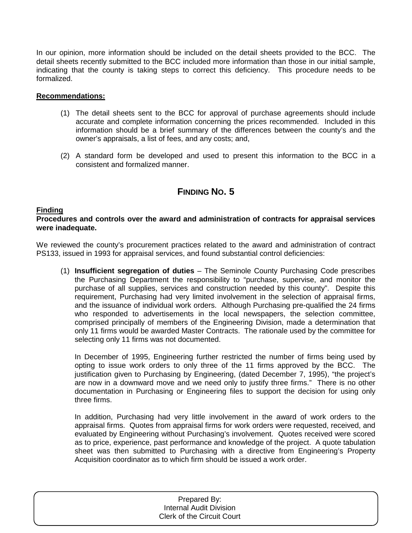In our opinion, more information should be included on the detail sheets provided to the BCC. The detail sheets recently submitted to the BCC included more information than those in our initial sample, indicating that the county is taking steps to correct this deficiency. This procedure needs to be formalized.

#### **Recommendations:**

- (1) The detail sheets sent to the BCC for approval of purchase agreements should include accurate and complete information concerning the prices recommended. Included in this information should be a brief summary of the differences between the county's and the owner's appraisals, a list of fees, and any costs; and,
- (2) A standard form be developed and used to present this information to the BCC in a consistent and formalized manner.

## **FINDING NO. 5**

#### **Finding**

**Procedures and controls over the award and administration of contracts for appraisal services were inadequate.**

We reviewed the county's procurement practices related to the award and administration of contract PS133, issued in 1993 for appraisal services, and found substantial control deficiencies:

(1) **Insufficient segregation of duties** – The Seminole County Purchasing Code prescribes the Purchasing Department the responsibility to "purchase, supervise, and monitor the purchase of all supplies, services and construction needed by this county". Despite this requirement, Purchasing had very limited involvement in the selection of appraisal firms, and the issuance of individual work orders. Although Purchasing pre-qualified the 24 firms who responded to advertisements in the local newspapers, the selection committee, comprised principally of members of the Engineering Division, made a determination that only 11 firms would be awarded Master Contracts. The rationale used by the committee for selecting only 11 firms was not documented.

In December of 1995, Engineering further restricted the number of firms being used by opting to issue work orders to only three of the 11 firms approved by the BCC. The justification given to Purchasing by Engineering, (dated December 7, 1995), "the project's are now in a downward move and we need only to justify three firms." There is no other documentation in Purchasing or Engineering files to support the decision for using only three firms.

In addition, Purchasing had very little involvement in the award of work orders to the appraisal firms. Quotes from appraisal firms for work orders were requested, received, and evaluated by Engineering without Purchasing's involvement. Quotes received were scored as to price, experience, past performance and knowledge of the project. A quote tabulation sheet was then submitted to Purchasing with a directive from Engineering's Property Acquisition coordinator as to which firm should be issued a work order.

| Prepared By:                      |  |
|-----------------------------------|--|
| <b>Internal Audit Division</b>    |  |
| <b>Clerk of the Circuit Court</b> |  |
|                                   |  |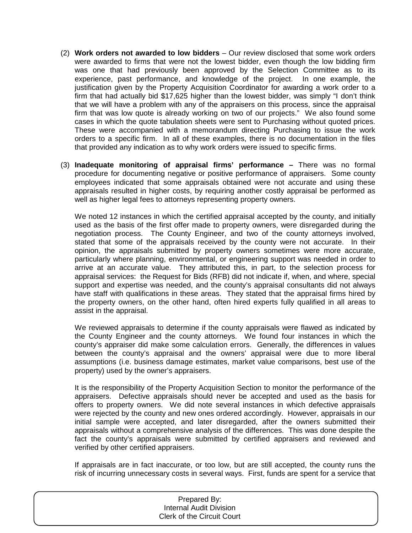- (2) **Work orders not awarded to low bidders** Our review disclosed that some work orders were awarded to firms that were not the lowest bidder, even though the low bidding firm was one that had previously been approved by the Selection Committee as to its experience, past performance, and knowledge of the project. In one example, the justification given by the Property Acquisition Coordinator for awarding a work order to a firm that had actually bid \$17,625 higher than the lowest bidder, was simply "I don't think that we will have a problem with any of the appraisers on this process, since the appraisal firm that was low quote is already working on two of our projects." We also found some cases in which the quote tabulation sheets were sent to Purchasing without quoted prices. These were accompanied with a memorandum directing Purchasing to issue the work orders to a specific firm. In all of these examples, there is no documentation in the files that provided any indication as to why work orders were issued to specific firms.
- (3) **Inadequate monitoring of appraisal firms' performance** There was no formal procedure for documenting negative or positive performance of appraisers. Some county employees indicated that some appraisals obtained were not accurate and using these appraisals resulted in higher costs, by requiring another costly appraisal be performed as well as higher legal fees to attorneys representing property owners.

We noted 12 instances in which the certified appraisal accepted by the county, and initially used as the basis of the first offer made to property owners, were disregarded during the negotiation process. The County Engineer, and two of the county attorneys involved, stated that some of the appraisals received by the county were not accurate. In their opinion, the appraisals submitted by property owners sometimes were more accurate, particularly where planning, environmental, or engineering support was needed in order to arrive at an accurate value. They attributed this, in part, to the selection process for appraisal services: the Request for Bids (RFB) did not indicate if, when, and where, special support and expertise was needed, and the county's appraisal consultants did not always have staff with qualifications in these areas. They stated that the appraisal firms hired by the property owners, on the other hand, often hired experts fully qualified in all areas to assist in the appraisal.

We reviewed appraisals to determine if the county appraisals were flawed as indicated by the County Engineer and the county attorneys. We found four instances in which the county's appraiser did make some calculation errors. Generally, the differences in values between the county's appraisal and the owners' appraisal were due to more liberal assumptions (i.e. business damage estimates, market value comparisons, best use of the property) used by the owner's appraisers.

It is the responsibility of the Property Acquisition Section to monitor the performance of the appraisers. Defective appraisals should never be accepted and used as the basis for offers to property owners. We did note several instances in which defective appraisals were rejected by the county and new ones ordered accordingly. However, appraisals in our initial sample were accepted, and later disregarded, after the owners submitted their appraisals without a comprehensive analysis of the differences. This was done despite the fact the county's appraisals were submitted by certified appraisers and reviewed and verified by other certified appraisers.

If appraisals are in fact inaccurate, or too low, but are still accepted, the county runs the risk of incurring unnecessary costs in several ways. First, funds are spent for a service that

| Prepared By:<br>Internal Audit Division<br><b>Clerk of the Circuit Court</b> |
|------------------------------------------------------------------------------|
|                                                                              |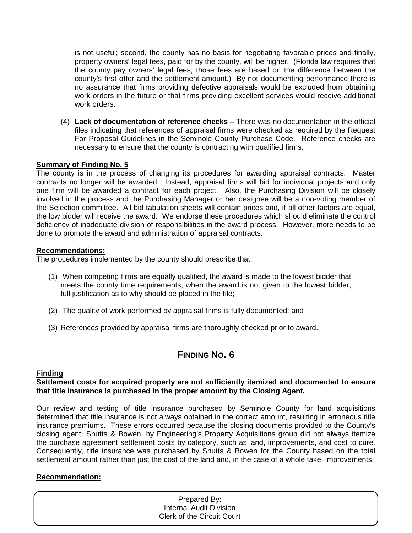is not useful; second, the county has no basis for negotiating favorable prices and finally, property owners' legal fees, paid for by the county, will be higher. (Florida law requires that the county pay owners' legal fees; those fees are based on the difference between the county's first offer and the settlement amount.) By not documenting performance there is no assurance that firms providing defective appraisals would be excluded from obtaining work orders in the future or that firms providing excellent services would receive additional work orders.

(4) **Lack of documentation of reference checks –** There was no documentation in the official files indicating that references of appraisal firms were checked as required by the Request For Proposal Guidelines in the Seminole County Purchase Code. Reference checks are necessary to ensure that the county is contracting with qualified firms.

#### **Summary of Finding No. 5**

The county is in the process of changing its procedures for awarding appraisal contracts. Master contracts no longer will be awarded. Instead, appraisal firms will bid for individual projects and only one firm will be awarded a contract for each project. Also, the Purchasing Division will be closely involved in the process and the Purchasing Manager or her designee will be a non-voting member of the Selection committee. All bid tabulation sheets will contain prices and, if all other factors are equal, the low bidder will receive the award. We endorse these procedures which should eliminate the control deficiency of inadequate division of responsibilities in the award process. However, more needs to be done to promote the award and administration of appraisal contracts.

#### **Recommendations:**

The procedures implemented by the county should prescribe that:

- (1) When competing firms are equally qualified, the award is made to the lowest bidder that meets the county time requirements; when the award is not given to the lowest bidder, full justification as to why should be placed in the file;
- (2) The quality of work performed by appraisal firms is fully documented; and
- (3) References provided by appraisal firms are thoroughly checked prior to award.

## **FINDING NO. 6**

#### **Finding**

#### **Settlement costs for acquired property are not sufficiently itemized and documented to ensure that title insurance is purchased in the proper amount by the Closing Agent.**

Our review and testing of title insurance purchased by Seminole County for land acquisitions determined that title insurance is not always obtained in the correct amount, resulting in erroneous title insurance premiums. These errors occurred because the closing documents provided to the County's closing agent, Shutts & Bowen, by Engineering's Property Acquisitions group did not always itemize the purchase agreement settlement costs by category, such as land, improvements, and cost to cure. Consequently, title insurance was purchased by Shutts & Bowen for the County based on the total settlement amount rather than just the cost of the land and, in the case of a whole take, improvements.

#### **Recommendation:**

| Prepared By:                   |  |
|--------------------------------|--|
| <b>Internal Audit Division</b> |  |
| Clerk of the Circuit Court     |  |